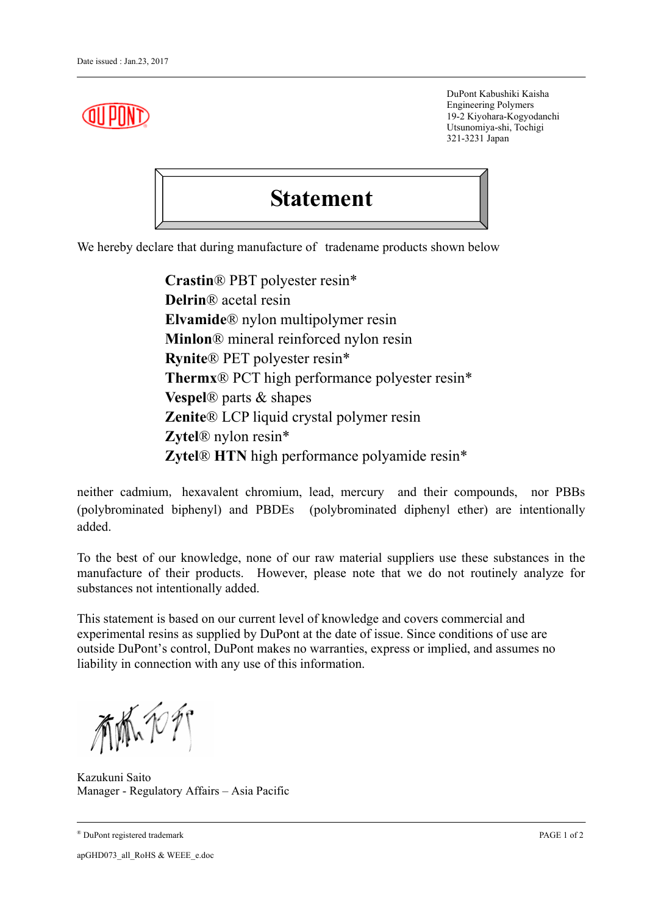DuPont Kabushiki Kaisha Engineering Polymers 19-2 Kiyohara-Kogyodanchi Utsunomiya-shi, Tochigi 321-3231 Japan

## **Statement**

We hereby declare that during manufacture of tradename products shown below

**Crastin**® PBT polyester resin\* **Delrin**® acetal resin **Elvamide**® nylon multipolymer resin **Minlon**® mineral reinforced nylon resin **Rynite**® PET polyester resin\* **Thermx**® PCT high performance polyester resin\* **Vespel**® parts & shapes **Zenite**® LCP liquid crystal polymer resin **Zytel**® nylon resin\* **Zytel**® **HTN** high performance polyamide resin\*

neither cadmium, hexavalent chromium, lead, mercury and their compounds, nor PBBs (polybrominated biphenyl) and PBDEs (polybrominated diphenyl ether) are intentionally added.

To the best of our knowledge, none of our raw material suppliers use these substances in the manufacture of their products. However, please note that we do not routinely analyze for substances not intentionally added.

This statement is based on our current level of knowledge and covers commercial and experimental resins as supplied by DuPont at the date of issue. Since conditions of use are outside DuPont's control, DuPont makes no warranties, express or implied, and assumes no liability in connection with any use of this information.

有低力力

Kazukuni Saito Manager - Regulatory Affairs – Asia Pacific

® DuPont registered trademark PAGE 1 of 2